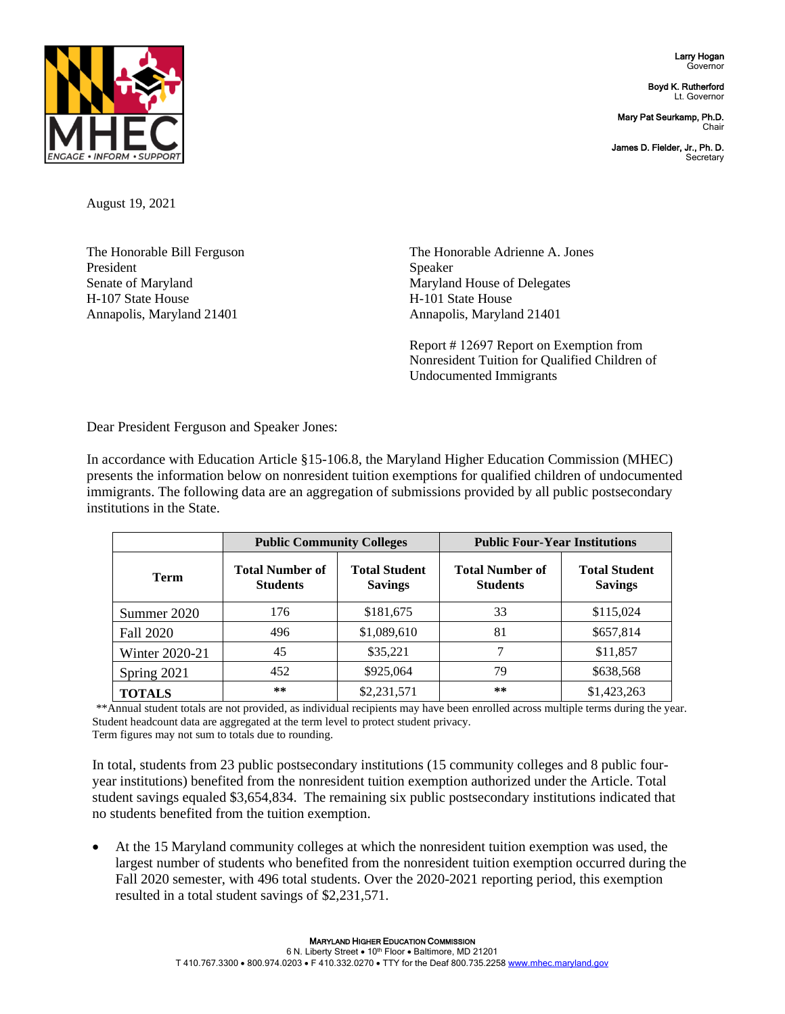Larry Hogan Governor

Boyd K. Rutherford Lt. Governor

Mary Pat Seurkamp, Ph.D. **Chair** 

James D. Fielder, Jr., Ph. D. **Secretary** 



August 19, 2021

The Honorable Bill Ferguson President Senate of Maryland H-107 State House Annapolis, Maryland 21401

The Honorable Adrienne A. Jones Speaker Maryland House of Delegates H-101 State House Annapolis, Maryland 21401

Report # 12697 Report on Exemption from Nonresident Tuition for Qualified Children of Undocumented Immigrants

Dear President Ferguson and Speaker Jones:

In accordance with Education Article §15-106.8, the Maryland Higher Education Commission (MHEC) presents the information below on nonresident tuition exemptions for qualified children of undocumented immigrants. The following data are an aggregation of submissions provided by all public postsecondary institutions in the State.

|                  | <b>Public Community Colleges</b>          |                                        | <b>Public Four-Year Institutions</b>      |                                        |
|------------------|-------------------------------------------|----------------------------------------|-------------------------------------------|----------------------------------------|
| <b>Term</b>      | <b>Total Number of</b><br><b>Students</b> | <b>Total Student</b><br><b>Savings</b> | <b>Total Number of</b><br><b>Students</b> | <b>Total Student</b><br><b>Savings</b> |
| Summer 2020      | 176                                       | \$181,675                              | 33                                        | \$115,024                              |
| <b>Fall 2020</b> | 496                                       | \$1,089,610                            | 81                                        | \$657,814                              |
| Winter 2020-21   | 45                                        | \$35,221                               |                                           | \$11,857                               |
| Spring 2021      | 452                                       | \$925,064                              | 79                                        | \$638,568                              |
| <b>TOTALS</b>    | **                                        | \$2,231,571                            | $***$                                     | \$1,423,263                            |

\*\*Annual student totals are not provided, as individual recipients may have been enrolled across multiple terms during the year. Student headcount data are aggregated at the term level to protect student privacy. Term figures may not sum to totals due to rounding.

In total, students from 23 public postsecondary institutions (15 community colleges and 8 public fouryear institutions) benefited from the nonresident tuition exemption authorized under the Article. Total student savings equaled \$3,654,834. The remaining six public postsecondary institutions indicated that no students benefited from the tuition exemption.

• At the 15 Maryland community colleges at which the nonresident tuition exemption was used, the largest number of students who benefited from the nonresident tuition exemption occurred during the Fall 2020 semester, with 496 total students. Over the 2020-2021 reporting period, this exemption resulted in a total student savings of \$2,231,571.